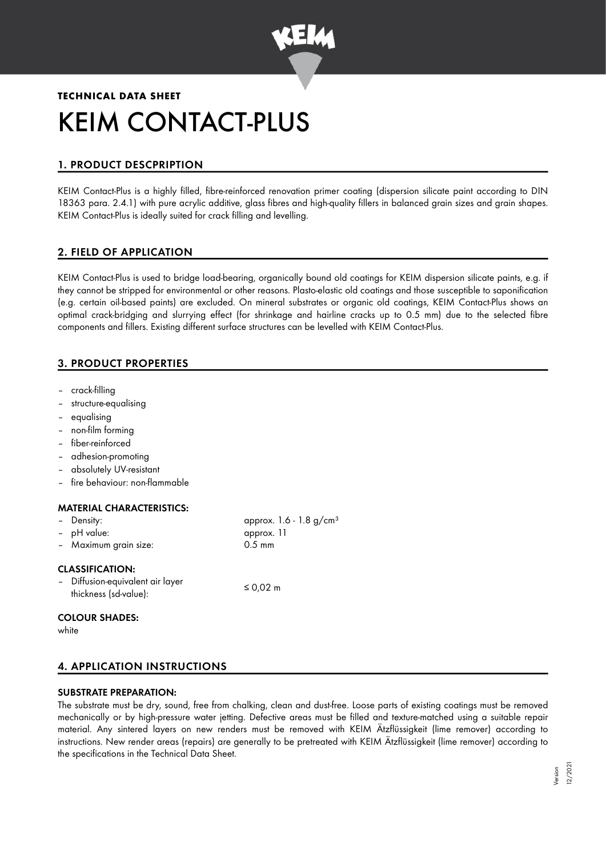

# **TECHNICAL DATA SHEET** KEIM CONTACT-PLUS

## 1. PRODUCT DESCPRIPTION

KEIM Contact-Plus is a highly filled, fibre-reinforced renovation primer coating (dispersion silicate paint according to DIN 18363 para. 2.4.1) with pure acrylic additive, glass fibres and high-quality fillers in balanced grain sizes and grain shapes. KEIM Contact-Plus is ideally suited for crack filling and levelling.

## 2. FIELD OF APPLICATION

KEIM Contact-Plus is used to bridge load-bearing, organically bound old coatings for KEIM dispersion silicate paints, e.g. if they cannot be stripped for environmental or other reasons. Plasto-elastic old coatings and those susceptible to saponification (e.g. certain oil-based paints) are excluded. On mineral substrates or organic old coatings, KEIM Contact-Plus shows an optimal crack-bridging and slurrying effect (for shrinkage and hairline cracks up to 0.5 mm) due to the selected fibre components and fillers. Existing different surface structures can be levelled with KEIM Contact-Plus.

## 3. PRODUCT PROPERTIES

- crack-filling
- structure-equalising
- equalising
- non-film forming
- fiber-reinforced
- adhesion-promoting
- absolutely UV-resistant
- fire behaviour: non-flammable

#### MATERIAL CHARACTERISTICS:

| - Density:<br>- pH value:<br>- Maximum grain size:                                  | approx. 1.6 - 1.8 $g/cm^{3}$<br>approx. 11<br>$0.5 \text{ mm}$ |
|-------------------------------------------------------------------------------------|----------------------------------------------------------------|
| <b>CLASSIFICATION:</b><br>- Diffusion-equivalent air layer<br>thickness (sd-value): | ≤ 0,02 $m$                                                     |

#### COLOUR SHADES:

white

## 4. APPLICATION INSTRUCTIONS

#### SUBSTRATE PREPARATION:

The substrate must be dry, sound, free from chalking, clean and dust-free. Loose parts of existing coatings must be removed mechanically or by high-pressure water jetting. Defective areas must be filled and texture-matched using a suitable repair material. Any sintered layers on new renders must be removed with KEIM Ätzflüssigkeit (lime remover) according to instructions. New render areas (repairs) are generally to be pretreated with KEIM Ätzflüssigkeit (lime remover) according to the specifications in the Technical Data Sheet.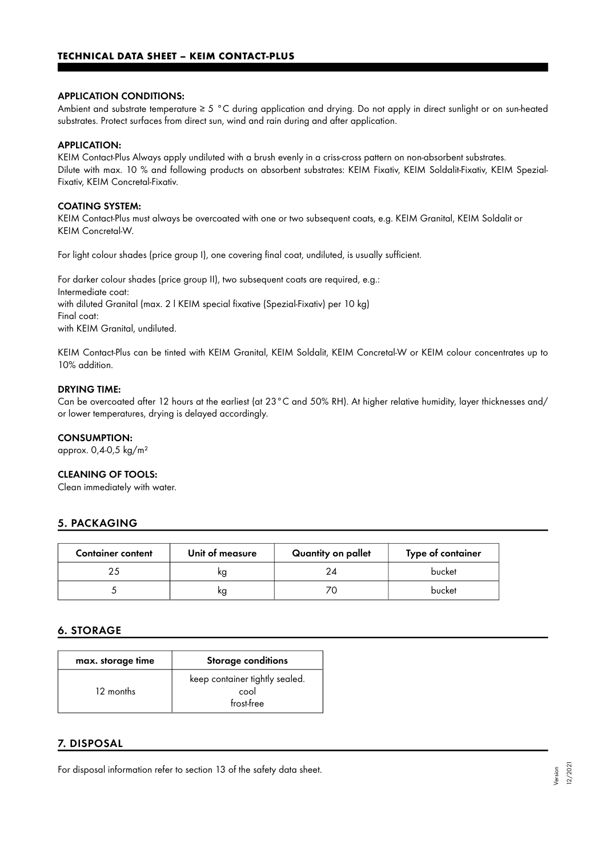#### APPLICATION CONDITIONS:

Ambient and substrate temperature ≥ 5 °C during application and drying. Do not apply in direct sunlight or on sun-heated substrates. Protect surfaces from direct sun, wind and rain during and after application.

#### APPLICATION:

KEIM Contact-Plus Always apply undiluted with a brush evenly in a criss-cross pattern on non-absorbent substrates. Dilute with max. 10 % and following products on absorbent substrates: KEIM Fixativ, KEIM Soldalit-Fixativ, KEIM Spezial-Fixativ, KEIM Concretal-Fixativ.

#### COATING SYSTEM:

KEIM Contact-Plus must always be overcoated with one or two subsequent coats, e.g. KEIM Granital, KEIM Soldalit or KEIM Concretal-W.

For light colour shades (price group I), one covering final coat, undiluted, is usually sufficient.

For darker colour shades (price group II), two subsequent coats are required, e.g.: Intermediate coat: with diluted Granital (max. 2 l KEIM special fixative (Spezial-Fixativ) per 10 kg) Final coat: with KEIM Granital, undiluted.

KEIM Contact-Plus can be tinted with KEIM Granital, KEIM Soldalit, KEIM Concretal-W or KEIM colour concentrates up to 10% addition.

#### DRYING TIME:

Can be overcoated after 12 hours at the earliest (at 23°C and 50% RH). At higher relative humidity, layer thicknesses and/ or lower temperatures, drying is delayed accordingly.

#### CONSUMPTION:

approx. 0,4-0,5 kg/m²

#### CLEANING OF TOOLS:

Clean immediately with water.

#### 5. PACKAGING

| <b>Container content</b> | Unit of measure | Quantity on pallet | Type of container |
|--------------------------|-----------------|--------------------|-------------------|
|                          | κg              | 24                 | bucket            |
|                          | κg              |                    | bucket            |

## 6. STORAGE

| max. storage time | <b>Storage conditions</b>                            |
|-------------------|------------------------------------------------------|
| 12 months         | keep container tightly sealed.<br>cool<br>frost-free |

#### 7. DISPOSAL

For disposal information refer to section 13 of the safety data sheet.